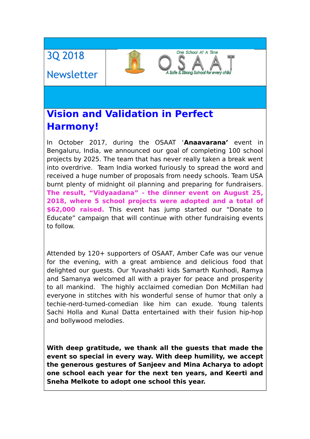# 3Q 2018

# Newsletter

# **Vision and Validation in Perfect Harmony!**

In October 2017, during the OSAAT '**Anaavarana'** event in Bengaluru, India, we announced our goal of completing 100 school projects by 2025. The team that has never really taken a break went into overdrive. Team India worked furiously to spread the word and received a huge number of proposals from needy schools. Team USA burnt plenty of midnight oil planning and preparing for fundraisers. **The result, "Vidyaadana" - the dinner event on August 25, 2018, where 5 school projects were adopted and a total of \$62,000 raised.** This event has jump started our "Donate to Educate" campaign that will continue with other fundraising events to follow.

One School At A Time

Strong School for every c

Attended by 120+ supporters of OSAAT, Amber Cafe was our venue for the evening, with a great ambience and delicious food that delighted our guests. Our Yuvashakti kids Samarth Kunhodi, Ramya and Samanya welcomed all with a prayer for peace and prosperity to all mankind. The highly acclaimed comedian Don McMillan had everyone in stitches with his wonderful sense of humor that only a techie-nerd-turned-comedian like him can exude. Young talents Sachi Holla and Kunal Datta entertained with their fusion hip-hop and bollywood melodies.

**With deep gratitude, we thank all the guests that made the event so special in every way. With deep humility, we accept the generous gestures of Sanjeev and Mina Acharya to adopt one school each year for the next ten years, and Keerti and Sneha Melkote to adopt one school this year.**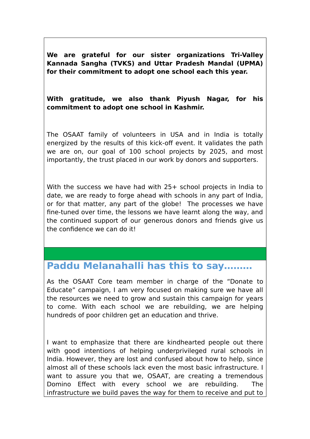**We are grateful for our sister organizations Tri-Valley Kannada Sangha (TVKS) and Uttar Pradesh Mandal (UPMA) for their commitment to adopt one school each this year.** 

#### **With gratitude, we also thank Piyush Nagar, for his commitment to adopt one school in Kashmir.**

The OSAAT family of volunteers in USA and in India is totally energized by the results of this kick-off event. It validates the path we are on, our goal of 100 school projects by 2025, and most importantly, the trust placed in our work by donors and supporters.

With the success we have had with 25+ school projects in India to date, we are ready to forge ahead with schools in any part of India, or for that matter, any part of the globe! The processes we have fine-tuned over time, the lessons we have learnt along the way, and the continued support of our generous donors and friends give us the confidence we can do it!

### **Paddu Melanahalli has this to say………**

As the OSAAT Core team member in charge of the "Donate to Educate" campaign, I am very focused on making sure we have all the resources we need to grow and sustain this campaign for years to come. With each school we are rebuilding, we are helping hundreds of poor children get an education and thrive.

I want to emphasize that there are kindhearted people out there with good intentions of helping underprivileged rural schools in India. However, they are lost and confused about how to help, since almost all of these schools lack even the most basic infrastructure. I want to assure you that we, OSAAT, are creating a tremendous Domino Effect with every school we are rebuilding. The infrastructure we build paves the way for them to receive and put to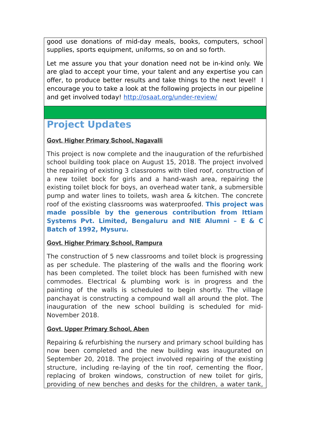good use donations of mid-day meals, books, computers, school supplies, sports equipment, uniforms, so on and so forth.

Let me assure you that your donation need not be in-kind only. We are glad to accept your time, your talent and any expertise you can offer, to produce better results and take things to the next level! I encourage you to take a look at the following projects in our pipeline and get involved today! [http://osaat.org/under-review/](http://osaat.org/under-review/#inbox/_blank)

# **Project Updates**

#### **Govt. Higher Primary School, Nagavalli**

This project is now complete and the inauguration of the refurbished school building took place on August 15, 2018. The project involved the repairing of existing 3 classrooms with tiled roof, construction of a new toilet bock for girls and a hand-wash area, repairing the existing toilet block for boys, an overhead water tank, a submersible pump and water lines to toilets, wash area & kitchen. The concrete roof of the existing classrooms was waterproofed. **This project was made possible by the generous contribution from Ittiam Systems Pvt. Limited, Bengaluru and NIE Alumni – E & C Batch of 1992, Mysuru.**

#### **Govt. Higher Primary School, Rampura**

The construction of 5 new classrooms and toilet block is progressing as per schedule. The plastering of the walls and the flooring work has been completed. The toilet block has been furnished with new commodes. Electrical & plumbing work is in progress and the painting of the walls is scheduled to begin shortly. The village panchayat is constructing a compound wall all around the plot. The inauguration of the new school building is scheduled for mid-November 2018.

#### **Govt. Upper Primary School, Aben**

Repairing & refurbishing the nursery and primary school building has now been completed and the new building was inaugurated on September 20, 2018. The project involved repairing of the existing structure, including re-laying of the tin roof, cementing the floor, replacing of broken windows, construction of new toilet for girls, providing of new benches and desks for the children, a water tank,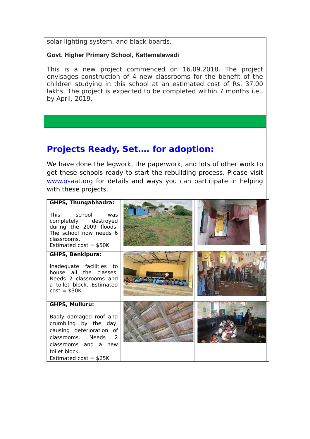solar lighting system, and black boards.

#### **Govt. Higher Primary School, Kattemalawadi**

This is a new project commenced on 16.09.2018. The project envisages construction of 4 new classrooms for the benefit of the children studying in this school at an estimated cost of Rs. 37.00 lakhs. The project is expected to be completed within 7 months i.e., by April, 2019.

# **Projects Ready, Set…. for adoption:**

We have done the legwork, the paperwork, and lots of other work to get these schools ready to start the rebuilding process. Please visit [www.osaat.org](http://www.osaat.org/) for details and ways you can participate in helping with these projects.

#### **GHPS, Thungabhadra:**

This school was completely destroyed during the 2009 floods. The school now needs 6 classrooms. Estimated cost = \$50K

#### **GHPS, Benkipura:**

Inadequate facilities to house all the classes. Needs 2 classrooms and a toilet block. Estimated  $cost = $30K$ 

#### **GHPS, Mulluru:**

Badly damaged roof and crumbling by the day, causing deterioration of classrooms. Needs 2 classrooms and a new toilet block. Estimated  $cost = $25K$ 



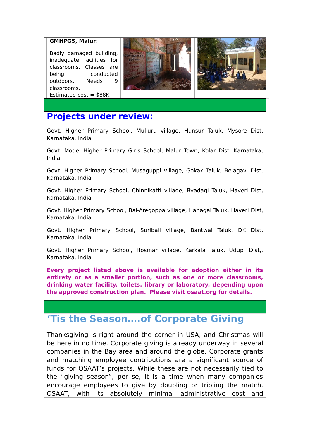#### **GMHPGS, Malur**:

Badly damaged building, inadequate facilities for classrooms. Classes are being conducted outdoors. Needs 9 classrooms. Estimated  $cost = $88K$ 





### **Projects under review:**

Govt. Higher Primary School, Mulluru village, Hunsur Taluk, Mysore Dist, Karnataka, India

Govt. Model Higher Primary Girls School, Malur Town, Kolar Dist, Karnataka, India

Govt. Higher Primary School, Musaguppi village, Gokak Taluk, Belagavi Dist, Karnataka, India

Govt. Higher Primary School, Chinnikatti village, Byadagi Taluk, Haveri Dist, Karnataka, India

Govt. Higher Primary School, Bai-Aregoppa village, Hanagal Taluk, Haveri Dist, Karnataka, India

Govt. Higher Primary School, Suribail village, Bantwal Taluk, DK Dist, Karnataka, India

Govt. Higher Primary School, Hosmar village, Karkala Taluk, Udupi Dist,, Karnataka, India

**Every project listed above is available for adoption either in its entirety or as a smaller portion, such as one or more classrooms, drinking water facility, toilets, library or laboratory, depending upon the approved construction plan. Please visit osaat.org for details.**

# **'Tis the Season….of Corporate Giving**

Thanksgiving is right around the corner in USA, and Christmas will be here in no time. Corporate giving is already underway in several companies in the Bay area and around the globe. Corporate grants and matching employee contributions are a significant source of funds for OSAAT's projects. While these are not necessarily tied to the "giving season", per se, it is a time when many companies encourage employees to give by doubling or tripling the match. OSAAT, with its absolutely minimal administrative cost and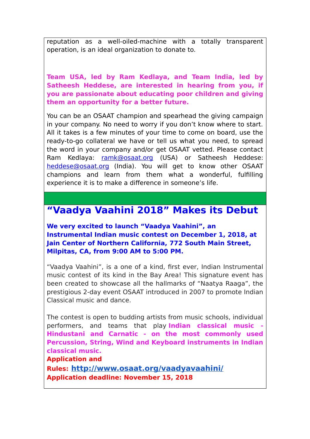reputation as a well-oiled-machine with a totally transparent operation, is an ideal organization to donate to.

**Team USA, led by Ram Kedlaya, and Team India, led by Satheesh Heddese, are interested in hearing from you, if you are passionate about educating poor children and giving them an opportunity for a better future.** 

You can be an OSAAT champion and spearhead the giving campaign in your company. No need to worry if you don't know where to start. All it takes is a few minutes of your time to come on board, use the ready-to-go collateral we have or tell us what you need, to spread the word in your company and/or get OSAAT vetted. Please contact Ram Kedlaya: [ramk@osaat.org](mailto:ramk@osaat.org) (USA) or Satheesh Heddese: [heddese@osaat.org](mailto:heddese@osaat.org) (India). You will get to know other OSAAT champions and learn from them what a wonderful, fulfilling experience it is to make a difference in someone's life.

### **"Vaadya Vaahini 2018" Makes its Debut**

**We very excited to launch "Vaadya Vaahini", an Instrumental Indian music contest on December 1, 2018, at Jain Center of Northern California, 772 South Main Street, Milpitas, CA, from 9:00 AM to 5:00 PM.**

"Vaadya Vaahini", is a one of a kind, first ever, Indian Instrumental music contest of its kind in the Bay Area! This signature event has been created to showcase all the hallmarks of "Naatya Raaga", the prestigious 2-day event OSAAT introduced in 2007 to promote Indian Classical music and dance.

The contest is open to budding artists from music schools, individual performers, and teams that play **Indian classical music - Hindustani and Carnatic - on the most commonly used Percussion, String, Wind and Keyboard instruments in Indian classical music.**

**Application and** 

**Rules: [http://www.osaat.org/vaadyavaahini/](http://www.osaat.org/vaadyavaahini/#inbox/_blank) Application deadline: November 15, 2018**